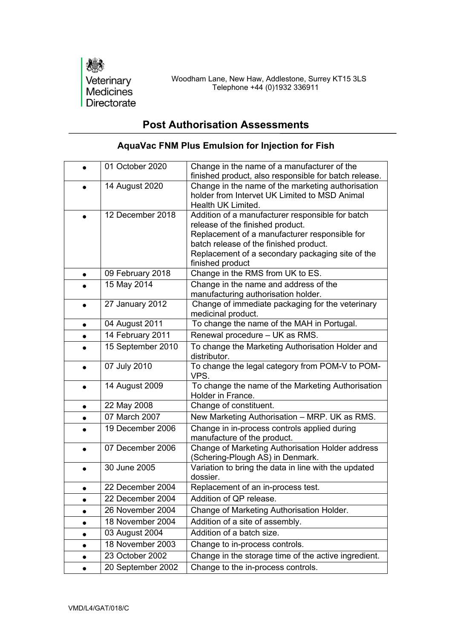

## **Post Authorisation Assessments**

|           | 01 October 2020   | Change in the name of a manufacturer of the<br>finished product, also responsible for batch release.                                                                                                                                                    |
|-----------|-------------------|---------------------------------------------------------------------------------------------------------------------------------------------------------------------------------------------------------------------------------------------------------|
|           | 14 August 2020    | Change in the name of the marketing authorisation<br>holder from Intervet UK Limited to MSD Animal<br>Health UK Limited.                                                                                                                                |
|           | 12 December 2018  | Addition of a manufacturer responsible for batch<br>release of the finished product.<br>Replacement of a manufacturer responsible for<br>batch release of the finished product.<br>Replacement of a secondary packaging site of the<br>finished product |
| $\bullet$ | 09 February 2018  | Change in the RMS from UK to ES.                                                                                                                                                                                                                        |
|           | 15 May 2014       | Change in the name and address of the<br>manufacturing authorisation holder.                                                                                                                                                                            |
|           | 27 January 2012   | Change of immediate packaging for the veterinary<br>medicinal product.                                                                                                                                                                                  |
|           | 04 August 2011    | To change the name of the MAH in Portugal.                                                                                                                                                                                                              |
|           | 14 February 2011  | Renewal procedure - UK as RMS.                                                                                                                                                                                                                          |
|           | 15 September 2010 | To change the Marketing Authorisation Holder and<br>distributor.                                                                                                                                                                                        |
|           | 07 July 2010      | To change the legal category from POM-V to POM-<br>VPS.                                                                                                                                                                                                 |
| $\bullet$ | 14 August 2009    | To change the name of the Marketing Authorisation<br>Holder in France.                                                                                                                                                                                  |
|           | 22 May 2008       | Change of constituent.                                                                                                                                                                                                                                  |
|           | 07 March 2007     | New Marketing Authorisation - MRP. UK as RMS.                                                                                                                                                                                                           |
|           | 19 December 2006  | Change in in-process controls applied during<br>manufacture of the product.                                                                                                                                                                             |
|           | 07 December 2006  | Change of Marketing Authorisation Holder address<br>(Schering-Plough AS) in Denmark.                                                                                                                                                                    |
| $\bullet$ | 30 June 2005      | Variation to bring the data in line with the updated<br>dossier.                                                                                                                                                                                        |
|           | 22 December 2004  | Replacement of an in-process test.                                                                                                                                                                                                                      |
|           | 22 December 2004  | Addition of QP release.                                                                                                                                                                                                                                 |
|           | 26 November 2004  | Change of Marketing Authorisation Holder.                                                                                                                                                                                                               |
|           | 18 November 2004  | Addition of a site of assembly.                                                                                                                                                                                                                         |
|           | 03 August 2004    | Addition of a batch size.                                                                                                                                                                                                                               |
|           | 18 November 2003  | Change to in-process controls.                                                                                                                                                                                                                          |
|           | 23 October 2002   | Change in the storage time of the active ingredient.                                                                                                                                                                                                    |
|           | 20 September 2002 | Change to the in-process controls.                                                                                                                                                                                                                      |

## **AquaVac FNM Plus Emulsion for Injection for Fish**